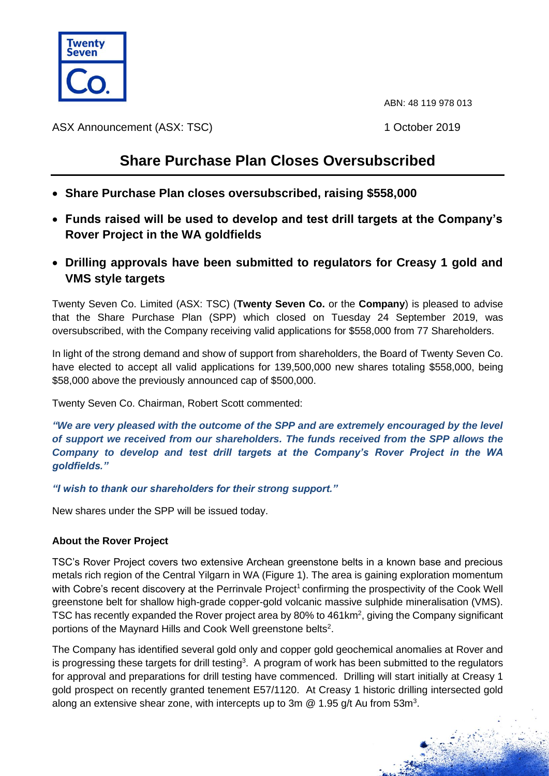

ABN: 48 119 978 013

ASX Announcement (ASX: TSC) 1 October 2019

## **Share Purchase Plan Closes Oversubscribed**

- **Share Purchase Plan closes oversubscribed, raising \$558,000**
- **Funds raised will be used to develop and test drill targets at the Company's Rover Project in the WA goldfields**
- **Drilling approvals have been submitted to regulators for Creasy 1 gold and VMS style targets**

Twenty Seven Co. Limited (ASX: TSC) (**Twenty Seven Co.** or the **Company**) is pleased to advise that the Share Purchase Plan (SPP) which closed on Tuesday 24 September 2019, was oversubscribed, with the Company receiving valid applications for \$558,000 from 77 Shareholders.

In light of the strong demand and show of support from shareholders, the Board of Twenty Seven Co. have elected to accept all valid applications for 139,500,000 new shares totaling \$558,000, being \$58,000 above the previously announced cap of \$500,000.

Twenty Seven Co. Chairman, Robert Scott commented:

*"We are very pleased with the outcome of the SPP and are extremely encouraged by the level of support we received from our shareholders. The funds received from the SPP allows the Company to develop and test drill targets at the Company's Rover Project in the WA goldfields."*

*"I wish to thank our shareholders for their strong support."*

New shares under the SPP will be issued today.

## **About the Rover Project**

TSC's Rover Project covers two extensive Archean greenstone belts in a known base and precious metals rich region of the Central Yilgarn in WA (Figure 1). The area is gaining exploration momentum with Cobre's recent discovery at the Perrinvale Project<sup>1</sup> confirming the prospectivity of the Cook Well greenstone belt for shallow high-grade copper-gold volcanic massive sulphide mineralisation (VMS). TSC has recently expanded the Rover project area by 80% to  $461 \text{km}^2$ , giving the Company significant portions of the Maynard Hills and Cook Well greenstone belts<sup>2</sup>.

The Company has identified several gold only and copper gold geochemical anomalies at Rover and is progressing these targets for drill testing<sup>3</sup>. A program of work has been submitted to the regulators for approval and preparations for drill testing have commenced. Drilling will start initially at Creasy 1 gold prospect on recently granted tenement E57/1120. At Creasy 1 historic drilling intersected gold along an extensive shear zone, with intercepts up to 3m  $@$  1.95 g/t Au from 53m<sup>3</sup>.